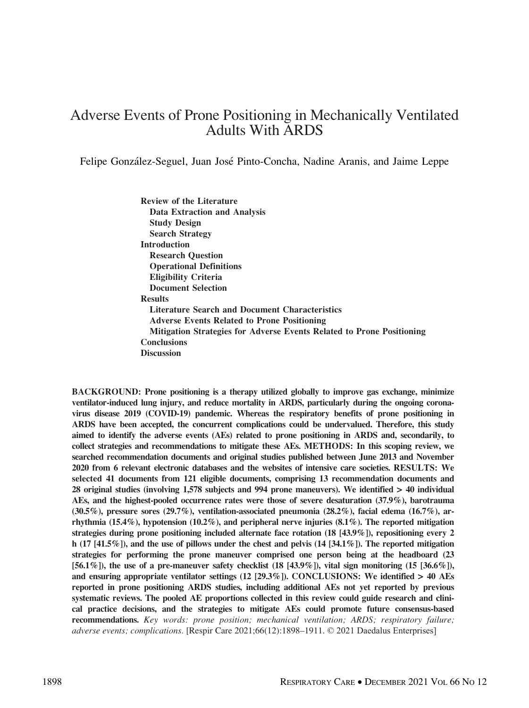# Adverse Events of Prone Positioning in Mechanically Ventilated Adults With ARDS

Felipe González-Seguel, Juan José Pinto-Concha, Nadine Aranis, and Jaime Leppe

Review of the Literature Data Extraction and Analysis Study Design Search Strategy Introduction Research Question Operational Definitions Eligibility Criteria Document Selection Results Literature Search and Document Characteristics Adverse Events Related to Prone Positioning Mitigation Strategies for Adverse Events Related to Prone Positioning **Conclusions Discussion** 

BACKGROUND: Prone positioning is a therapy utilized globally to improve gas exchange, minimize ventilator-induced lung injury, and reduce mortality in ARDS, particularly during the ongoing coronavirus disease 2019 (COVID-19) pandemic. Whereas the respiratory benefits of prone positioning in ARDS have been accepted, the concurrent complications could be undervalued. Therefore, this study aimed to identify the adverse events (AEs) related to prone positioning in ARDS and, secondarily, to collect strategies and recommendations to mitigate these AEs. METHODS: In this scoping review, we searched recommendation documents and original studies published between June 2013 and November 2020 from 6 relevant electronic databases and the websites of intensive care societies. RESULTS: We selected 41 documents from 121 eligible documents, comprising 13 recommendation documents and 28 original studies (involving 1,578 subjects and 994 prone maneuvers). We identified > 40 individual AEs, and the highest-pooled occurrence rates were those of severe desaturation (37.9%), barotrauma  $(30.5\%)$ , pressure sores  $(29.7\%)$ , ventilation-associated pneumonia  $(28.2\%)$ , facial edema  $(16.7\%)$ , arrhythmia (15.4%), hypotension (10.2%), and peripheral nerve injuries (8.1%). The reported mitigation strategies during prone positioning included alternate face rotation (18 [43.9%]), repositioning every 2 h (17 [41.5%]), and the use of pillows under the chest and pelvis (14 [34.1%]). The reported mitigation strategies for performing the prone maneuver comprised one person being at the headboard (23 [56.1%]), the use of a pre-maneuver safety checklist (18 [43.9%]), vital sign monitoring (15 [36.6%]), and ensuring appropriate ventilator settings  $(12 [29.3\%])$ . CONCLUSIONS: We identified  $> 40$  AEs reported in prone positioning ARDS studies, including additional AEs not yet reported by previous systematic reviews. The pooled AE proportions collected in this review could guide research and clinical practice decisions, and the strategies to mitigate AEs could promote future consensus-based recommendations. Key words: prone position; mechanical ventilation; ARDS; respiratory failure; adverse events; complications. [Respir Care 2021;66(12):1898–1911. © 2021 Daedalus Enterprises]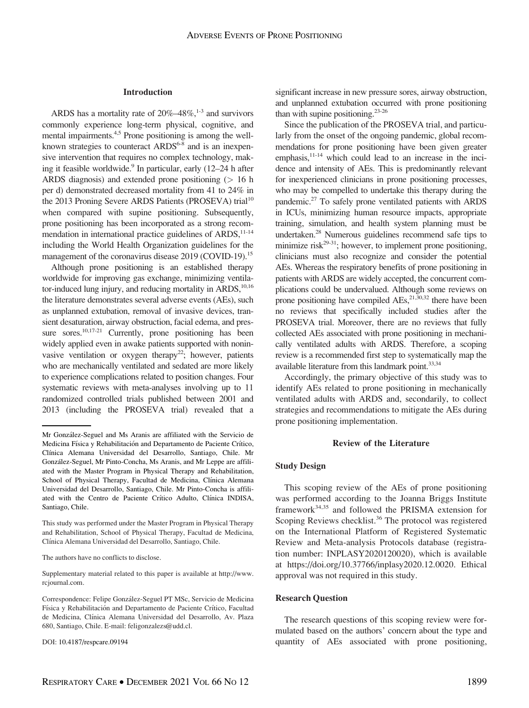#### Introduction

ARDS has a mortality rate of  $20\% - 48\%$ , <sup>1-3</sup> and survivors commonly experience long-term physical, cognitive, and mental impairments.<sup>4,5</sup> Prone positioning is among the wellknown strategies to counteract  $ARDS^{6-8}$  and is an inexpensive intervention that requires no complex technology, making it feasible worldwide.<sup>9</sup> In particular, early (12–24 h after ARDS diagnosis) and extended prone positioning  $(> 16$  h per d) demonstrated decreased mortality from 41 to 24% in the 2013 Proning Severe ARDS Patients (PROSEVA) trial<sup>10</sup> when compared with supine positioning. Subsequently, prone positioning has been incorporated as a strong recommendation in international practice guidelines of  $ARDS$ ,<sup>11-14</sup> including the World Health Organization guidelines for the management of the coronavirus disease 2019 (COVID-19).<sup>15</sup>

Although prone positioning is an established therapy worldwide for improving gas exchange, minimizing ventilator-induced lung injury, and reducing mortality in ARDS,  $10,16$ the literature demonstrates several adverse events (AEs), such as unplanned extubation, removal of invasive devices, transient desaturation, airway obstruction, facial edema, and pressure sores.<sup>10,17-21</sup> Currently, prone positioning has been widely applied even in awake patients supported with noninvasive ventilation or oxygen therapy<sup>22</sup>; however, patients who are mechanically ventilated and sedated are more likely to experience complications related to position changes. Four systematic reviews with meta-analyses involving up to 11 randomized controlled trials published between 2001 and 2013 (including the PROSEVA trial) revealed that a

The authors have no conflicts to disclose.

Supplementary material related to this paper is available at [http://www.](http://www.rcjournal.com) [rcjournal.com](http://www.rcjournal.com).

DOI: 10.4187/respcare.09194

significant increase in new pressure sores, airway obstruction, and unplanned extubation occurred with prone positioning than with supine positioning. $23-26$ 

Since the publication of the PROSEVA trial, and particularly from the onset of the ongoing pandemic, global recommendations for prone positioning have been given greater emphasis, $11-14$  which could lead to an increase in the incidence and intensity of AEs. This is predominantly relevant for inexperienced clinicians in prone positioning processes, who may be compelled to undertake this therapy during the pandemic.27 To safely prone ventilated patients with ARDS in ICUs, minimizing human resource impacts, appropriate training, simulation, and health system planning must be undertaken.28 Numerous guidelines recommend safe tips to minimize risk<sup>29-31</sup>; however, to implement prone positioning, clinicians must also recognize and consider the potential AEs. Whereas the respiratory benefits of prone positioning in patients with ARDS are widely accepted, the concurrent complications could be undervalued. Although some reviews on prone positioning have compiled  $AEs$ ,<sup>21,30,32</sup> there have been no reviews that specifically included studies after the PROSEVA trial. Moreover, there are no reviews that fully collected AEs associated with prone positioning in mechanically ventilated adults with ARDS. Therefore, a scoping review is a recommended first step to systematically map the available literature from this landmark point.<sup>33,34</sup>

Accordingly, the primary objective of this study was to identify AEs related to prone positioning in mechanically ventilated adults with ARDS and, secondarily, to collect strategies and recommendations to mitigate the AEs during prone positioning implementation.

#### Review of the Literature

#### Study Design

This scoping review of the AEs of prone positioning was performed according to the Joanna Briggs Institute framework<sup>34,35</sup> and followed the PRISMA extension for Scoping Reviews checklist.<sup>36</sup> The protocol was registered on the International Platform of Registered Systematic Review and Meta-analysis Protocols database (registration number: INPLASY2020120020), which is available at [https://doi.org/10.37766/inplasy2020.12.0020.](https://doi.org/10.37766/inplasy2020.12.0020) Ethical approval was not required in this study.

#### Research Question

The research questions of this scoping review were formulated based on the authors' concern about the type and quantity of AEs associated with prone positioning,

Mr González-Seguel and Ms Aranis are affiliated with the Servicio de Medicina Física y Rehabilitación and Departamento de Paciente Crítico, Clínica Alemana Universidad del Desarrollo, Santiago, Chile. Mr González-Seguel, Mr Pinto-Concha, Ms Aranis, and Mr Leppe are affiliated with the Master Program in Physical Therapy and Rehabilitation, School of Physical Therapy, Facultad de Medicina, Clínica Alemana Universidad del Desarrollo, Santiago, Chile. Mr Pinto-Concha is affiliated with the Centro de Paciente Crítico Adulto, Clínica INDISA, Santiago, Chile.

This study was performed under the Master Program in Physical Therapy and Rehabilitation, School of Physical Therapy, Facultad de Medicina, Clínica Alemana Universidad del Desarrollo, Santiago, Chile.

Correspondence: Felipe González-Seguel PT MSc, Servicio de Medicina Física y Rehabilitación and Departamento de Paciente Crítico, Facultad de Medicina, Clínica Alemana Universidad del Desarrollo, Av. Plaza 680, Santiago, Chile. E-mail: [feligonzalezs@udd.cl.](mailto:feligonzalezs@udd.cl)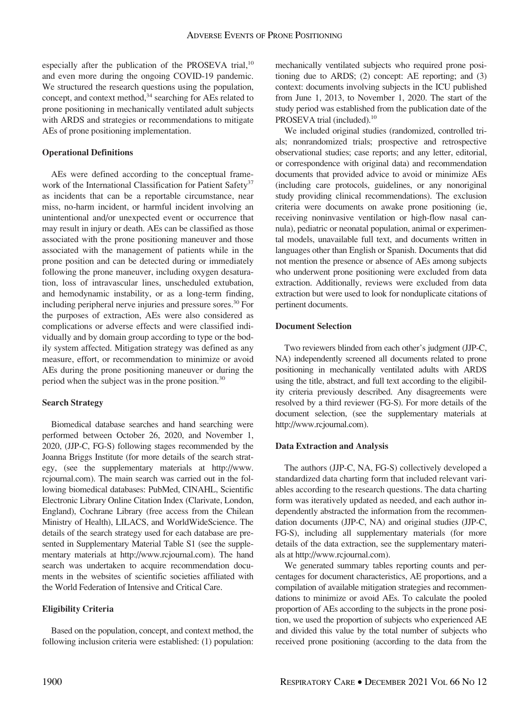especially after the publication of the PROSEVA trial, $^{10}$ and even more during the ongoing COVID-19 pandemic. We structured the research questions using the population, concept, and context method,<sup>34</sup> searching for AEs related to prone positioning in mechanically ventilated adult subjects with ARDS and strategies or recommendations to mitigate AEs of prone positioning implementation.

## Operational Definitions

AEs were defined according to the conceptual framework of the International Classification for Patient Safety<sup>37</sup> as incidents that can be a reportable circumstance, near miss, no-harm incident, or harmful incident involving an unintentional and/or unexpected event or occurrence that may result in injury or death. AEs can be classified as those associated with the prone positioning maneuver and those associated with the management of patients while in the prone position and can be detected during or immediately following the prone maneuver, including oxygen desaturation, loss of intravascular lines, unscheduled extubation, and hemodynamic instability, or as a long-term finding, including peripheral nerve injuries and pressure sores.<sup>30</sup> For the purposes of extraction, AEs were also considered as complications or adverse effects and were classified individually and by domain group according to type or the bodily system affected. Mitigation strategy was defined as any measure, effort, or recommendation to minimize or avoid AEs during the prone positioning maneuver or during the period when the subject was in the prone position.<sup>30</sup>

## Search Strategy

Biomedical database searches and hand searching were performed between October 26, 2020, and November 1, 2020, (JJP-C, FG-S) following stages recommended by the Joanna Briggs Institute (for more details of the search strategy, (see the supplementary materials at [http://www.](http://www.rcjournal.com) [rcjournal.com](http://www.rcjournal.com)). The main search was carried out in the following biomedical databases: PubMed, CINAHL, Scientific Electronic Library Online Citation Index (Clarivate, London, England), Cochrane Library (free access from the Chilean Ministry of Health), LILACS, and WorldWideScience. The details of the search strategy used for each database are presented in Supplementary Material Table S1 (see the supplementary materials at [http://www.rcjournal.com\)](http://www.rcjournal.com). The hand search was undertaken to acquire recommendation documents in the websites of scientific societies affiliated with the World Federation of Intensive and Critical Care.

## Eligibility Criteria

Based on the population, concept, and context method, the following inclusion criteria were established: (1) population: mechanically ventilated subjects who required prone positioning due to ARDS; (2) concept: AE reporting; and (3) context: documents involving subjects in the ICU published from June 1, 2013, to November 1, 2020. The start of the study period was established from the publication date of the PROSEVA trial (included).<sup>10</sup>

We included original studies (randomized, controlled trials; nonrandomized trials; prospective and retrospective observational studies; case reports; and any letter, editorial, or correspondence with original data) and recommendation documents that provided advice to avoid or minimize AEs (including care protocols, guidelines, or any nonoriginal study providing clinical recommendations). The exclusion criteria were documents on awake prone positioning (ie, receiving noninvasive ventilation or high-flow nasal cannula), pediatric or neonatal population, animal or experimental models, unavailable full text, and documents written in languages other than English or Spanish. Documents that did not mention the presence or absence of AEs among subjects who underwent prone positioning were excluded from data extraction. Additionally, reviews were excluded from data extraction but were used to look for nonduplicate citations of pertinent documents.

## Document Selection

Two reviewers blinded from each other's judgment (JJP-C, NA) independently screened all documents related to prone positioning in mechanically ventilated adults with ARDS using the title, abstract, and full text according to the eligibility criteria previously described. Any disagreements were resolved by a third reviewer (FG-S). For more details of the document selection, (see the supplementary materials at <http://www.rcjournal.com>).

### Data Extraction and Analysis

The authors (JJP-C, NA, FG-S) collectively developed a standardized data charting form that included relevant variables according to the research questions. The data charting form was iteratively updated as needed, and each author independently abstracted the information from the recommendation documents (JJP-C, NA) and original studies (JJP-C, FG-S), including all supplementary materials (for more details of the data extraction, see the supplementary materials at<http://www.rcjournal.com>).

We generated summary tables reporting counts and percentages for document characteristics, AE proportions, and a compilation of available mitigation strategies and recommendations to minimize or avoid AEs. To calculate the pooled proportion of AEs according to the subjects in the prone position, we used the proportion of subjects who experienced AE and divided this value by the total number of subjects who received prone positioning (according to the data from the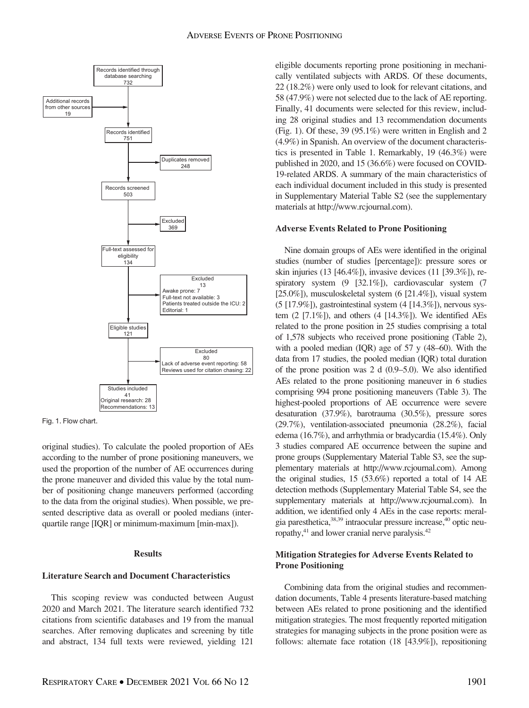



original studies). To calculate the pooled proportion of AEs according to the number of prone positioning maneuvers, we used the proportion of the number of AE occurrences during the prone maneuver and divided this value by the total number of positioning change maneuvers performed (according to the data from the original studies). When possible, we presented descriptive data as overall or pooled medians (interquartile range [IQR] or minimum-maximum [min-max]).

#### Results

## Literature Search and Document Characteristics

This scoping review was conducted between August 2020 and March 2021. The literature search identified 732 citations from scientific databases and 19 from the manual searches. After removing duplicates and screening by title and abstract, 134 full texts were reviewed, yielding 121

eligible documents reporting prone positioning in mechanically ventilated subjects with ARDS. Of these documents, 22 (18.2%) were only used to look for relevant citations, and 58 (47.9%) were not selected due to the lack of AE reporting. Finally, 41 documents were selected for this review, including 28 original studies and 13 recommendation documents (Fig. 1). Of these, 39 (95.1%) were written in English and 2 (4.9%) in Spanish. An overview of the document characteristics is presented in Table 1. Remarkably, 19 (46.3%) were published in 2020, and 15 (36.6%) were focused on COVID-19-related ARDS. A summary of the main characteristics of each individual document included in this study is presented in Supplementary Material Table S2 (see the supplementary materials at [http://www.rcjournal.com\)](http://www.rcjournal.com).

#### Adverse Events Related to Prone Positioning

Nine domain groups of AEs were identified in the original studies (number of studies [percentage]): pressure sores or skin injuries (13 [46.4%]), invasive devices (11 [39.3%]), respiratory system (9 [32.1%]), cardiovascular system (7 [25.0%]), musculoskeletal system (6 [21.4%]), visual system  $(5 [17.9\%])$ , gastrointestinal system  $(4 [14.3\%])$ , nervous system  $(2 \tceil 7.1\%]$ , and others  $(4 \tceil 14.3\%]$ ). We identified AEs related to the prone position in 25 studies comprising a total of 1,578 subjects who received prone positioning (Table 2), with a pooled median (IQR) age of 57 y (48–60). With the data from 17 studies, the pooled median (IQR) total duration of the prone position was 2 d (0.9–5.0). We also identified AEs related to the prone positioning maneuver in 6 studies comprising 994 prone positioning maneuvers (Table 3). The highest-pooled proportions of AE occurrence were severe desaturation (37.9%), barotrauma (30.5%), pressure sores (29.7%), ventilation-associated pneumonia (28.2%), facial edema (16.7%), and arrhythmia or bradycardia (15.4%). Only 3 studies compared AE occurrence between the supine and prone groups (Supplementary Material Table S3, see the supplementary materials at [http://www.rcjournal.com\)](http://www.rcjournal.com). Among the original studies, 15 (53.6%) reported a total of 14 AE detection methods (Supplementary Material Table S4, see the supplementary materials at [http://www.rcjournal.com\)](http://www.rcjournal.com). In addition, we identified only 4 AEs in the case reports: meralgia paresthetica,38,39 intraocular pressure increase,40 optic neuropathy,<sup>41</sup> and lower cranial nerve paralysis.<sup>42</sup>

## Mitigation Strategies for Adverse Events Related to Prone Positioning

Combining data from the original studies and recommendation documents, Table 4 presents literature-based matching between AEs related to prone positioning and the identified mitigation strategies. The most frequently reported mitigation strategies for managing subjects in the prone position were as follows: alternate face rotation (18 [43.9%]), repositioning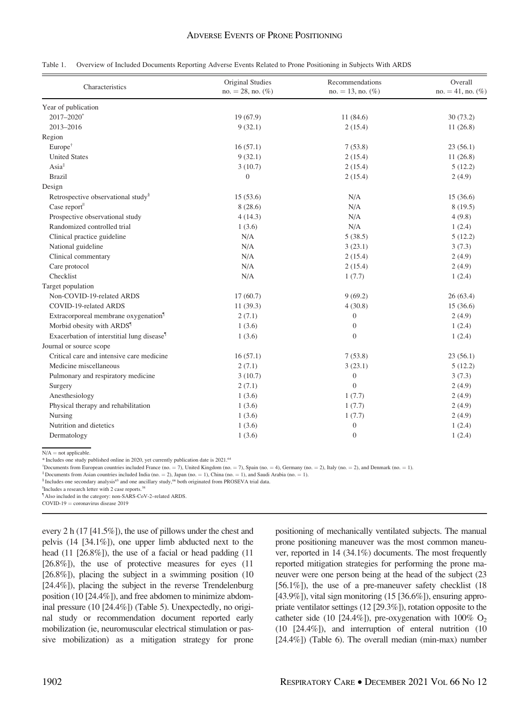|  | Table 1. Overview of Included Documents Reporting Adverse Events Related to Prone Positioning in Subjects With ARDS |  |
|--|---------------------------------------------------------------------------------------------------------------------|--|
|--|---------------------------------------------------------------------------------------------------------------------|--|

| Characteristics                                        | Original Studies<br>$no. = 28$ , no. $(\%)$ | Recommendations<br>$no. = 13$ , no. $(\%)$ | Overall<br>$no. = 41$ , no. $(\%)$ |
|--------------------------------------------------------|---------------------------------------------|--------------------------------------------|------------------------------------|
| Year of publication                                    |                                             |                                            |                                    |
| $2017 - 2020$ <sup>*</sup>                             | 19(67.9)                                    | 11(84.6)                                   | 30(73.2)                           |
| 2013-2016                                              | 9(32.1)                                     | 2(15.4)                                    | 11(26.8)                           |
| Region                                                 |                                             |                                            |                                    |
| $Europe^{\dagger}$                                     | 16(57.1)                                    | 7(53.8)                                    | 23(56.1)                           |
| <b>United States</b>                                   | 9(32.1)                                     | 2(15.4)                                    | 11(26.8)                           |
| $\text{Asia}^{\ddagger}$                               | 3(10.7)                                     | 2(15.4)                                    | 5(12.2)                            |
| <b>Brazil</b>                                          | $\theta$                                    | 2(15.4)                                    | 2(4.9)                             |
| Design                                                 |                                             |                                            |                                    |
| Retrospective observational study <sup>§</sup>         | 15(53.6)                                    | N/A                                        | 15(36.6)                           |
| Case report                                            | 8(28.6)                                     | N/A                                        | 8(19.5)                            |
| Prospective observational study                        | 4(14.3)                                     | N/A                                        | 4(9.8)                             |
| Randomized controlled trial                            | 1(3.6)                                      | N/A                                        | 1(2.4)                             |
| Clinical practice guideline                            | N/A                                         | 5(38.5)                                    | 5(12.2)                            |
| National guideline                                     | N/A                                         | 3(23.1)                                    | 3(7.3)                             |
| Clinical commentary                                    | N/A                                         | 2(15.4)                                    | 2(4.9)                             |
| Care protocol                                          | N/A                                         | 2(15.4)                                    | 2(4.9)                             |
| Checklist                                              | N/A                                         | 1(7.7)                                     | 1(2.4)                             |
| Target population                                      |                                             |                                            |                                    |
| Non-COVID-19-related ARDS                              | 17(60.7)                                    | 9(69.2)                                    | 26(63.4)                           |
| COVID-19-related ARDS                                  | 11(39.3)                                    | 4(30.8)                                    | 15(36.6)                           |
| Extracorporeal membrane oxygenation <sup>1</sup>       | 2(7.1)                                      | $\mathbf{0}$                               | 2(4.9)                             |
| Morbid obesity with ARDS <sup>1</sup>                  | 1(3.6)                                      | $\mathbf{0}$                               | 1(2.4)                             |
| Exacerbation of interstitial lung disease <sup>1</sup> | 1(3.6)                                      | $\overline{0}$                             | 1(2.4)                             |
| Journal or source scope                                |                                             |                                            |                                    |
| Critical care and intensive care medicine              | 16(57.1)                                    | 7(53.8)                                    | 23(56.1)                           |
| Medicine miscellaneous                                 | 2(7.1)                                      | 3(23.1)                                    | 5(12.2)                            |
| Pulmonary and respiratory medicine                     | 3(10.7)                                     | $\boldsymbol{0}$                           | 3(7.3)                             |
| Surgery                                                | 2(7.1)                                      | $\Omega$                                   | 2(4.9)                             |
| Anesthesiology                                         | 1(3.6)                                      | 1(7.7)                                     | 2(4.9)                             |
| Physical therapy and rehabilitation                    | 1(3.6)                                      | 1(7.7)                                     | 2(4.9)                             |
| Nursing                                                | 1(3.6)                                      | 1(7.7)                                     | 2(4.9)                             |
| Nutrition and dietetics                                | 1(3.6)                                      | $\boldsymbol{0}$                           | 1(2.4)                             |
| Dermatology                                            | 1(3.6)                                      | $\boldsymbol{0}$                           | 1(2.4)                             |

 $N/A$  = not applicable.

\* Includes one study published online in 2020, yet currently publication date is 2021.64

<sup>†</sup>Documents from European countries included France (no. = 7), United Kingdom (no. = 7), Spain (no. = 4), Germany (no. = 2), Italy (no. = 2), and Denmark (no. = 1).<br><sup>‡</sup>Documents from Asian countries included India (no. =

 $\textsuperscript{II}$  Includes a research letter with 2 case reports.<sup>38</sup>

¶ Also included in the category: non-SARS-CoV-2–related ARDS.

 $COVID-19 = coronavirus disease 2019$ 

every 2 h (17 [41.5%]), the use of pillows under the chest and pelvis (14 [34.1%]), one upper limb abducted next to the head (11 [26.8%]), the use of a facial or head padding (11 [26.8%]), the use of protective measures for eyes (11 [26.8%]), placing the subject in a swimming position (10 [24.4%]), placing the subject in the reverse Trendelenburg position (10 [24.4%]), and free abdomen to minimize abdominal pressure (10 [24.4%]) (Table 5). Unexpectedly, no original study or recommendation document reported early mobilization (ie, neuromuscular electrical stimulation or passive mobilization) as a mitigation strategy for prone positioning of mechanically ventilated subjects. The manual prone positioning maneuver was the most common maneuver, reported in 14 (34.1%) documents. The most frequently reported mitigation strategies for performing the prone maneuver were one person being at the head of the subject (23 [56.1%]), the use of a pre-maneuver safety checklist (18 [43.9%]), vital sign monitoring (15 [36.6%]), ensuring appropriate ventilator settings (12 [29.3%]), rotation opposite to the catheter side (10 [24.4%]), pre-oxygenation with  $100\%$  O<sub>2</sub> (10 [24.4%]), and interruption of enteral nutrition (10 [24.4%]) (Table 6). The overall median (min-max) number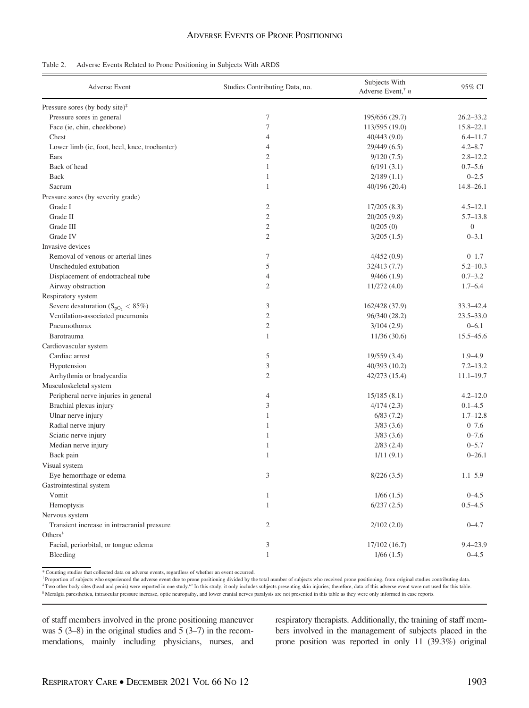|  |  | Table 2. Adverse Events Related to Prone Positioning in Subjects With ARDS |  |  |
|--|--|----------------------------------------------------------------------------|--|--|
|  |  |                                                                            |  |  |

| <b>Adverse Event</b>                          | Studies Contributing Data, no. | Subjects With<br>Adverse Event, $n$ | 95% CI           |
|-----------------------------------------------|--------------------------------|-------------------------------------|------------------|
| Pressure sores (by body site) $\hat{ }$       |                                |                                     |                  |
| Pressure sores in general                     | 7                              | 195/656 (29.7)                      | $26.2 - 33.2$    |
| Face (ie, chin, cheekbone)                    | $\tau$                         | 113/595 (19.0)                      | $15.8 - 22.1$    |
| Chest                                         | $\overline{4}$                 | 40/443 (9.0)                        | $6.4 - 11.7$     |
| Lower limb (ie, foot, heel, knee, trochanter) | $\overline{4}$                 | 29/449 (6.5)                        | $4.2 - 8.7$      |
| Ears                                          | $\mathfrak{2}$                 | 9/120(7.5)                          | $2.8 - 12.2$     |
| Back of head                                  | $\mathbf{1}$                   | 6/191(3.1)                          | $0.7 - 5.6$      |
| Back                                          | $\mathbf{1}$                   | 2/189(1.1)                          | $0 - 2.5$        |
| Sacrum                                        | $\mathbf{1}$                   | 40/196 (20.4)                       | $14.8 - 26.1$    |
| Pressure sores (by severity grade)            |                                |                                     |                  |
| Grade I                                       | $\mathfrak{2}$                 | 17/205(8.3)                         | $4.5 - 12.1$     |
| Grade II                                      | $\mathfrak{2}$                 | 20/205 (9.8)                        | $5.7 - 13.8$     |
| Grade III                                     | $\overline{2}$                 | 0/205(0)                            | $\boldsymbol{0}$ |
| Grade IV                                      | $\overline{2}$                 | 3/205(1.5)                          | $0 - 3.1$        |
| Invasive devices                              |                                |                                     |                  |
| Removal of venous or arterial lines           | 7                              | 4/452(0.9)                          | $0 - 1.7$        |
| Unscheduled extubation                        | 5                              | 32/413 (7.7)                        | $5.2 - 10.3$     |
| Displacement of endotracheal tube             | $\overline{4}$                 | 9/466(1.9)                          | $0.7 - 3.2$      |
| Airway obstruction                            | $\overline{2}$                 | 11/272(4.0)                         | $1.7 - 6.4$      |
| Respiratory system                            |                                |                                     |                  |
| Severe desaturation ( $S_{pO_2} < 85\%$ )     | 3                              | 162/428 (37.9)                      | 33.3-42.4        |
| Ventilation-associated pneumonia              | $\mathfrak{2}$                 | 96/340 (28.2)                       | $23.5 - 33.0$    |
| Pneumothorax                                  | $\mathfrak{2}$                 | 3/104(2.9)                          | $0 - 6.1$        |
| Barotrauma                                    | $\mathbf{1}$                   | 11/36(30.6)                         | $15.5 - 45.6$    |
| Cardiovascular system                         |                                |                                     |                  |
| Cardiac arrest                                | 5                              | 19/559 (3.4)                        | $1.9 - 4.9$      |
| Hypotension                                   | 3                              | 40/393 (10.2)                       | $7.2 - 13.2$     |
| Arrhythmia or bradycardia                     | $\mathfrak{2}$                 | 42/273 (15.4)                       | $11.1 - 19.7$    |
| Musculoskeletal system                        |                                |                                     |                  |
| Peripheral nerve injuries in general          | $\overline{4}$                 | 15/185(8.1)                         | $4.2 - 12.0$     |
| Brachial plexus injury                        | 3                              | 4/174(2.3)                          | $0.1 - 4.5$      |
| Ulnar nerve injury                            | $\mathbf{1}$                   | 6/83(7.2)                           | $1.7 - 12.8$     |
| Radial nerve injury                           | $\mathbf{1}$                   | 3/83(3.6)                           | $0 - 7.6$        |
| Sciatic nerve injury                          | $\mathbf{1}$                   | 3/83(3.6)                           | $0 - 7.6$        |
| Median nerve injury                           | $\mathbf{1}$                   | $2/83$ (2.4)                        | $0 - 5.7$        |
| Back pain                                     | $\mathbf{1}$                   | 1/11(9.1)                           | $0 - 26.1$       |
| Visual system                                 |                                |                                     |                  |
| Eye hemorrhage or edema                       | 3                              | 8/226(3.5)                          | $1.1 - 5.9$      |
| Gastrointestinal system                       |                                |                                     |                  |
| Vomit                                         | $\mathbf{1}$                   | 1/66(1.5)                           | $0 - 4.5$        |
| Hemoptysis                                    | $\mathbf{1}$                   | 6/237(2.5)                          | $0.5 - 4.5$      |
| Nervous system                                |                                |                                     |                  |
| Transient increase in intracranial pressure   | $\overline{c}$                 | 2/102(2.0)                          | $0 - 4.7$        |
| Others $\delta$                               |                                |                                     |                  |
| Facial, periorbital, or tongue edema          | 3                              | 17/102(16.7)                        | $9.4 - 23.9$     |
| Bleeding                                      | $\mathbf{1}$                   | 1/66(1.5)                           | $0 - 4.5$        |

\* Counting studies that collected data on adverse events, regardless of whether an event occurred.

<sup>†</sup> Proportion of subjects who experienced the adverse event due to prone positioning divided by the total number of subjects who received prone positioning, from original studies contributing data.<br><sup>‡</sup> Two other body site

§ Meralgia paresthetica, intraocular pressure increase, optic neuropathy, and lower cranial nerves paralysis are not presented in this table as they were only informed in case reports.

of staff members involved in the prone positioning maneuver was 5 (3–8) in the original studies and 5 (3–7) in the recommendations, mainly including physicians, nurses, and respiratory therapists. Additionally, the training of staff members involved in the management of subjects placed in the prone position was reported in only 11 (39.3%) original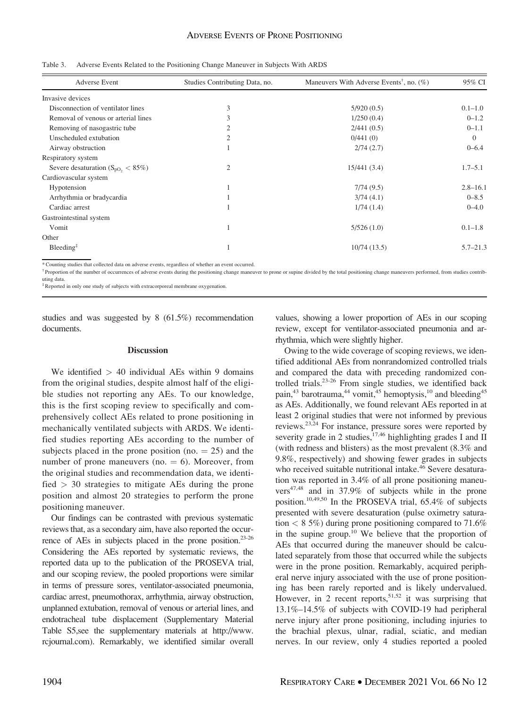|  | Table 3. Adverse Events Related to the Positioning Change Maneuver in Subjects With ARDS |  |  |  |  |  |  |
|--|------------------------------------------------------------------------------------------|--|--|--|--|--|--|
|--|------------------------------------------------------------------------------------------|--|--|--|--|--|--|

| <b>Adverse Event</b>                         | Studies Contributing Data, no. | Maneuvers With Adverse Events <sup>†</sup> , no. $(\%)$ | 95% CI       |
|----------------------------------------------|--------------------------------|---------------------------------------------------------|--------------|
| Invasive devices                             |                                |                                                         |              |
| Disconnection of ventilator lines            | 3                              | 5/920(0.5)                                              | $0.1 - 1.0$  |
| Removal of venous or arterial lines          | 3                              | 1/250(0.4)                                              | $0 - 1.2$    |
| Removing of nasogastric tube                 |                                | 2/441(0.5)                                              | $0 - 1.1$    |
| Unscheduled extubation                       |                                | 0/441(0)                                                | $\Omega$     |
| Airway obstruction                           |                                | 2/74(2.7)                                               | $0 - 6.4$    |
| Respiratory system                           |                                |                                                         |              |
| Severe desaturation ( $S_{pO_2} < 85\%$ )    | $\overline{2}$                 | 15/441(3.4)                                             | $1.7 - 5.1$  |
| Cardiovascular system                        |                                |                                                         |              |
| Hypotension                                  |                                | 7/74(9.5)                                               | $2.8 - 16.1$ |
| Arrhythmia or bradycardia                    |                                | 3/74(4.1)                                               | $0 - 8.5$    |
| Cardiac arrest                               |                                | 1/74(1.4)                                               | $0 - 4.0$    |
| Gastrointestinal system                      |                                |                                                         |              |
| Vomit                                        |                                | 5/526(1.0)                                              | $0.1 - 1.8$  |
| Other                                        |                                |                                                         |              |
| $B$ leeding <sup><math>\ddagger</math></sup> |                                | 10/74(13.5)                                             | $5.7 - 21.3$ |

\* Counting studies that collected data on adverse events, regardless of whether an event occurred.

<sup>†</sup> Proportion of the number of occurrences of adverse events during the positioning change maneuver to prone or supine divided by the total positioning change maneuvers performed, from studies contributing data.

‡Reported in only one study of subjects with extracorporeal membrane oxygenation.

studies and was suggested by 8 (61.5%) recommendation documents.

#### **Discussion**

We identified  $> 40$  individual AEs within 9 domains from the original studies, despite almost half of the eligible studies not reporting any AEs. To our knowledge, this is the first scoping review to specifically and comprehensively collect AEs related to prone positioning in mechanically ventilated subjects with ARDS. We identified studies reporting AEs according to the number of subjects placed in the prone position (no.  $= 25$ ) and the number of prone maneuvers (no.  $= 6$ ). Moreover, from the original studies and recommendation data, we identified  $> 30$  strategies to mitigate AEs during the prone position and almost 20 strategies to perform the prone positioning maneuver.

Our findings can be contrasted with previous systematic reviews that, as a secondary aim, have also reported the occurrence of AEs in subjects placed in the prone position.<sup>23-26</sup> Considering the AEs reported by systematic reviews, the reported data up to the publication of the PROSEVA trial, and our scoping review, the pooled proportions were similar in terms of pressure sores, ventilator-associated pneumonia, cardiac arrest, pneumothorax, arrhythmia, airway obstruction, unplanned extubation, removal of venous or arterial lines, and endotracheal tube displacement (Supplementary Material Table S5,see the supplementary materials at [http://www.](http://www.rcjournal.com) [rcjournal.com](http://www.rcjournal.com)). Remarkably, we identified similar overall

values, showing a lower proportion of AEs in our scoping review, except for ventilator-associated pneumonia and arrhythmia, which were slightly higher.

Owing to the wide coverage of scoping reviews, we identified additional AEs from nonrandomized controlled trials and compared the data with preceding randomized controlled trials.23-26 From single studies, we identified back pain,<sup>43</sup> barotrauma,<sup>44</sup> vomit,<sup>45</sup> hemoptysis,<sup>10</sup> and bleeding<sup>45</sup> as AEs. Additionally, we found relevant AEs reported in at least 2 original studies that were not informed by previous reviews.23,24 For instance, pressure sores were reported by severity grade in 2 studies,  $17,46$  highlighting grades I and II (with redness and blisters) as the most prevalent (8.3% and 9.8%, respectively) and showing fewer grades in subjects who received suitable nutritional intake.<sup>46</sup> Severe desaturation was reported in 3.4% of all prone positioning maneuvers47,48 and in 37.9% of subjects while in the prone position.10,49,50 In the PROSEVA trial, 65.4% of subjects presented with severe desaturation (pulse oximetry saturation  $\langle 8.5\% \rangle$  during prone positioning compared to 71.6% in the supine group.<sup>10</sup> We believe that the proportion of AEs that occurred during the maneuver should be calculated separately from those that occurred while the subjects were in the prone position. Remarkably, acquired peripheral nerve injury associated with the use of prone positioning has been rarely reported and is likely undervalued. However, in 2 recent reports,  $51,52$  it was surprising that 13.1%–14.5% of subjects with COVID-19 had peripheral nerve injury after prone positioning, including injuries to the brachial plexus, ulnar, radial, sciatic, and median nerves. In our review, only 4 studies reported a pooled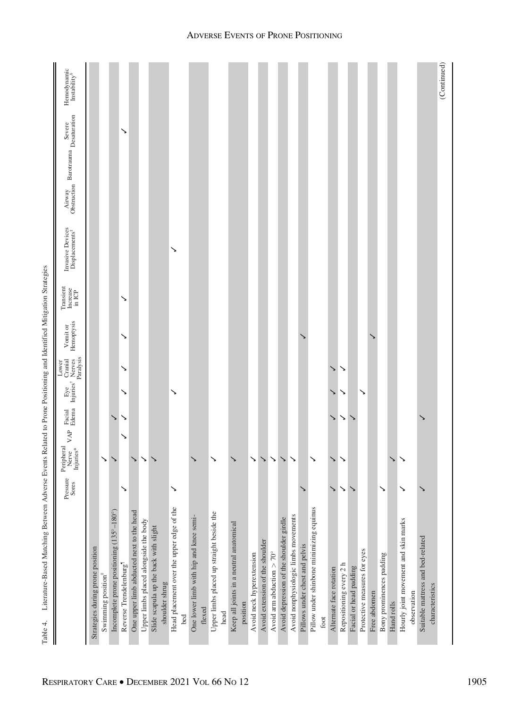|                                                     | Pressure<br>Sores | Injuries*<br>Peripheral<br>Nerve | VAP    | Facial Eye<br>Edema Injuries <sup>†</sup> | Nerves<br>Paralysis<br>Cranial<br>Lower | Hemoptysis<br>Vomit or | Transient<br>Increase<br>$\overline{\ln \text{ICP}}$ | Invasive Devices<br>Displacements <sup>#</sup> | Airway<br>Obstruction Barotrauma Desaturation<br>Severe | Hemodynamic<br>In stability <sup>8</sup> |
|-----------------------------------------------------|-------------------|----------------------------------|--------|-------------------------------------------|-----------------------------------------|------------------------|------------------------------------------------------|------------------------------------------------|---------------------------------------------------------|------------------------------------------|
| Strategies during prone position                    |                   |                                  |        |                                           |                                         |                        |                                                      |                                                |                                                         |                                          |
| Swimming position"                                  |                   | ↘                                |        |                                           |                                         |                        |                                                      |                                                |                                                         |                                          |
| Incomplete prone positioning (135°-180°)            |                   |                                  | ゝ      |                                           |                                         |                        |                                                      |                                                |                                                         |                                          |
| Reverse Trendelenburg"                              | ↘                 |                                  | ↘<br>↘ | ↘                                         | ↘                                       | ↘                      | ↘                                                    |                                                | ↘                                                       |                                          |
| One upper limb abducted next to the head            |                   | ↘                                |        |                                           |                                         |                        |                                                      |                                                |                                                         |                                          |
| Upper limbs placed alongside the body               |                   | ↘                                |        |                                           |                                         |                        |                                                      |                                                |                                                         |                                          |
| Slide scapula up the back with slight               |                   |                                  |        |                                           |                                         |                        |                                                      |                                                |                                                         |                                          |
| shoulder shrug                                      |                   |                                  |        |                                           |                                         |                        |                                                      |                                                |                                                         |                                          |
| Head placement over the upper edge of the           | ↘                 |                                  |        | ↘                                         |                                         |                        |                                                      | ↘                                              |                                                         |                                          |
| bed                                                 |                   |                                  |        |                                           |                                         |                        |                                                      |                                                |                                                         |                                          |
| One lower limb with hip and knee semi-              |                   |                                  |        |                                           |                                         |                        |                                                      |                                                |                                                         |                                          |
| flexed                                              |                   |                                  |        |                                           |                                         |                        |                                                      |                                                |                                                         |                                          |
| Upper limbs placed up straight beside the           |                   | ↘                                |        |                                           |                                         |                        |                                                      |                                                |                                                         |                                          |
| head                                                |                   |                                  |        |                                           |                                         |                        |                                                      |                                                |                                                         |                                          |
| Keep all joints in a neutral anatomical<br>position |                   |                                  |        |                                           |                                         |                        |                                                      |                                                |                                                         |                                          |
| Avoid neck hyperextension                           |                   | $\checkmark$                     |        |                                           |                                         |                        |                                                      |                                                |                                                         |                                          |
| Avoid extension of the shoulder                     |                   | $\checkmark$                     |        |                                           |                                         |                        |                                                      |                                                |                                                         |                                          |
| Avoid arm abduction $> 70^{\circ}$                  |                   | $\checkmark$                     |        |                                           |                                         |                        |                                                      |                                                |                                                         |                                          |
| Avoid depression of the shoulder girdle             |                   | ↘                                |        |                                           |                                         |                        |                                                      |                                                |                                                         |                                          |
| Avoid nonphysiologic limbs movements                |                   | $\checkmark$                     |        |                                           |                                         |                        |                                                      |                                                |                                                         |                                          |
| Pillows under chest and pelvis                      |                   |                                  |        |                                           |                                         |                        |                                                      |                                                |                                                         |                                          |
| Pillow under shinbone minimizing equinus            |                   | ↘                                |        |                                           |                                         |                        |                                                      |                                                |                                                         |                                          |
| foot                                                |                   |                                  |        |                                           |                                         |                        |                                                      |                                                |                                                         |                                          |
| Alternate face rotation                             | ↘                 | ↘                                | ↘      |                                           |                                         |                        |                                                      |                                                |                                                         |                                          |
| Repositioning every 2 h                             | $\checkmark$      | $\checkmark$                     | ↘      | ↘                                         | ↘                                       |                        |                                                      |                                                |                                                         |                                          |
| Facial or head padding                              | ↘                 |                                  | ↘      |                                           |                                         |                        |                                                      |                                                |                                                         |                                          |
| Protective measures for eyes                        |                   |                                  |        | ↘                                         |                                         |                        |                                                      |                                                |                                                         |                                          |
| Free abdomen                                        |                   |                                  |        |                                           |                                         |                        |                                                      |                                                |                                                         |                                          |
| Bony prominences padding                            | ↘                 |                                  |        |                                           |                                         |                        |                                                      |                                                |                                                         |                                          |
| Hand rolls                                          |                   | ↘                                |        |                                           |                                         |                        |                                                      |                                                |                                                         |                                          |
| Hourly joint movement and skin marks                | ↘                 |                                  |        |                                           |                                         |                        |                                                      |                                                |                                                         |                                          |
| observation                                         |                   |                                  |        |                                           |                                         |                        |                                                      |                                                |                                                         |                                          |
| Suitable mattress and bed-related                   |                   |                                  | ↘      |                                           |                                         |                        |                                                      |                                                |                                                         |                                          |
| characteristics                                     |                   |                                  |        |                                           |                                         |                        |                                                      |                                                |                                                         | (Continued)                              |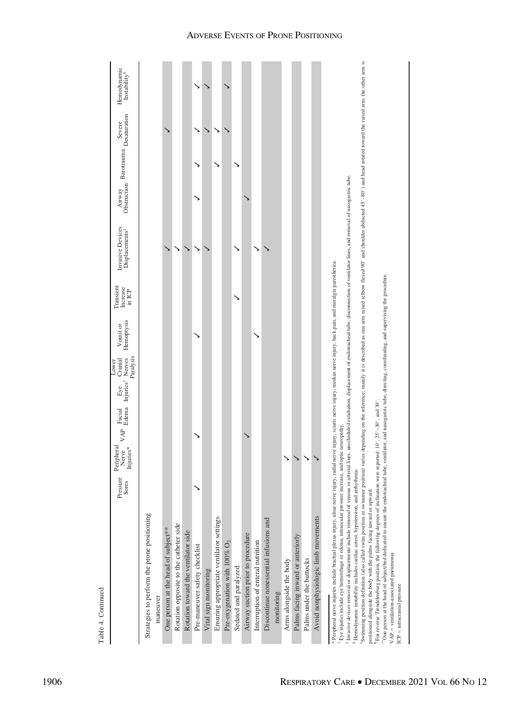|                                                                                                                                                                                                                                                                                                                                                                                                                                                                                                                                                                                                                                                                                                                                                                                                                                                                                                                                                                                                                                                                                                                                                                       | Pressure<br>Sores | Peripheral<br>njuries*<br>Nerve | $\ensuremath{\mathsf{VAP}}$ | Facial Eye Cranial<br>Edema Injuries <sup>†</sup> Nerves | Paralysis<br>Lower | Hemoptysis<br>Vomit or | Transient<br>Increase<br>in ICP | Invasive Devices<br>Displacements <sup>#</sup> | Airway | Furway Barotrauma Desaturation<br>Severe | Hemodynamic<br>Instability <sup>8</sup>                                                                                                                                               |
|-----------------------------------------------------------------------------------------------------------------------------------------------------------------------------------------------------------------------------------------------------------------------------------------------------------------------------------------------------------------------------------------------------------------------------------------------------------------------------------------------------------------------------------------------------------------------------------------------------------------------------------------------------------------------------------------------------------------------------------------------------------------------------------------------------------------------------------------------------------------------------------------------------------------------------------------------------------------------------------------------------------------------------------------------------------------------------------------------------------------------------------------------------------------------|-------------------|---------------------------------|-----------------------------|----------------------------------------------------------|--------------------|------------------------|---------------------------------|------------------------------------------------|--------|------------------------------------------|---------------------------------------------------------------------------------------------------------------------------------------------------------------------------------------|
| Strategies to perform the prone positioning                                                                                                                                                                                                                                                                                                                                                                                                                                                                                                                                                                                                                                                                                                                                                                                                                                                                                                                                                                                                                                                                                                                           |                   |                                 |                             |                                                          |                    |                        |                                 |                                                |        |                                          |                                                                                                                                                                                       |
| maneuver                                                                                                                                                                                                                                                                                                                                                                                                                                                                                                                                                                                                                                                                                                                                                                                                                                                                                                                                                                                                                                                                                                                                                              |                   |                                 |                             |                                                          |                    |                        |                                 |                                                |        |                                          |                                                                                                                                                                                       |
| One person at the head of subject**                                                                                                                                                                                                                                                                                                                                                                                                                                                                                                                                                                                                                                                                                                                                                                                                                                                                                                                                                                                                                                                                                                                                   |                   |                                 |                             |                                                          |                    |                        |                                 |                                                |        |                                          |                                                                                                                                                                                       |
| Rotation opposite to the catheter side                                                                                                                                                                                                                                                                                                                                                                                                                                                                                                                                                                                                                                                                                                                                                                                                                                                                                                                                                                                                                                                                                                                                |                   |                                 |                             |                                                          |                    |                        |                                 | ↘                                              |        |                                          |                                                                                                                                                                                       |
| Rotation toward the ventilator side                                                                                                                                                                                                                                                                                                                                                                                                                                                                                                                                                                                                                                                                                                                                                                                                                                                                                                                                                                                                                                                                                                                                   |                   |                                 |                             |                                                          |                    |                        |                                 |                                                |        |                                          |                                                                                                                                                                                       |
| Pre-maneuver safety checklist                                                                                                                                                                                                                                                                                                                                                                                                                                                                                                                                                                                                                                                                                                                                                                                                                                                                                                                                                                                                                                                                                                                                         |                   |                                 |                             |                                                          |                    |                        |                                 |                                                |        |                                          |                                                                                                                                                                                       |
| Vital sign monitoring                                                                                                                                                                                                                                                                                                                                                                                                                                                                                                                                                                                                                                                                                                                                                                                                                                                                                                                                                                                                                                                                                                                                                 |                   |                                 |                             |                                                          |                    |                        |                                 |                                                |        | ゝ                                        |                                                                                                                                                                                       |
| Ensuring appropriate ventilator settings                                                                                                                                                                                                                                                                                                                                                                                                                                                                                                                                                                                                                                                                                                                                                                                                                                                                                                                                                                                                                                                                                                                              |                   |                                 |                             |                                                          |                    |                        |                                 |                                                |        | ↘<br>↘                                   |                                                                                                                                                                                       |
| Pre-oxygenation with 100% O <sub>2</sub>                                                                                                                                                                                                                                                                                                                                                                                                                                                                                                                                                                                                                                                                                                                                                                                                                                                                                                                                                                                                                                                                                                                              |                   |                                 |                             |                                                          |                    |                        |                                 |                                                |        |                                          |                                                                                                                                                                                       |
| Sedated and paralyzed                                                                                                                                                                                                                                                                                                                                                                                                                                                                                                                                                                                                                                                                                                                                                                                                                                                                                                                                                                                                                                                                                                                                                 |                   |                                 |                             |                                                          |                    |                        |                                 |                                                |        |                                          |                                                                                                                                                                                       |
| Airway suction prior to procedure                                                                                                                                                                                                                                                                                                                                                                                                                                                                                                                                                                                                                                                                                                                                                                                                                                                                                                                                                                                                                                                                                                                                     |                   |                                 |                             |                                                          |                    |                        |                                 |                                                |        |                                          |                                                                                                                                                                                       |
| Interruption of enteral nutrition                                                                                                                                                                                                                                                                                                                                                                                                                                                                                                                                                                                                                                                                                                                                                                                                                                                                                                                                                                                                                                                                                                                                     |                   |                                 |                             |                                                          |                    |                        |                                 |                                                |        |                                          |                                                                                                                                                                                       |
| Discontinue nonessential infusions and                                                                                                                                                                                                                                                                                                                                                                                                                                                                                                                                                                                                                                                                                                                                                                                                                                                                                                                                                                                                                                                                                                                                |                   |                                 |                             |                                                          |                    |                        |                                 |                                                |        |                                          |                                                                                                                                                                                       |
| monitoring                                                                                                                                                                                                                                                                                                                                                                                                                                                                                                                                                                                                                                                                                                                                                                                                                                                                                                                                                                                                                                                                                                                                                            |                   |                                 |                             |                                                          |                    |                        |                                 |                                                |        |                                          |                                                                                                                                                                                       |
| Arms alongside the body                                                                                                                                                                                                                                                                                                                                                                                                                                                                                                                                                                                                                                                                                                                                                                                                                                                                                                                                                                                                                                                                                                                                               |                   |                                 |                             |                                                          |                    |                        |                                 |                                                |        |                                          |                                                                                                                                                                                       |
| Palms facing inward or anteriorly                                                                                                                                                                                                                                                                                                                                                                                                                                                                                                                                                                                                                                                                                                                                                                                                                                                                                                                                                                                                                                                                                                                                     |                   | ↘                               |                             |                                                          |                    |                        |                                 |                                                |        |                                          |                                                                                                                                                                                       |
| Palms under the buttocks                                                                                                                                                                                                                                                                                                                                                                                                                                                                                                                                                                                                                                                                                                                                                                                                                                                                                                                                                                                                                                                                                                                                              |                   | ↘                               |                             |                                                          |                    |                        |                                 |                                                |        |                                          |                                                                                                                                                                                       |
| Avoid nonphysiologic limb movements                                                                                                                                                                                                                                                                                                                                                                                                                                                                                                                                                                                                                                                                                                                                                                                                                                                                                                                                                                                                                                                                                                                                   |                   |                                 |                             |                                                          |                    |                        |                                 |                                                |        |                                          |                                                                                                                                                                                       |
| <sup>3</sup> Invasive devices removal or displacements include removal of venous or arterial lines, unscheduled extubation, displacement of endotracheal tube, discomection of ventilator lines, and removal of nasogastric tube.<br>* Peripheral nerve injuries include brachial plexus injury, ulnar nerve injury, radial nerve injury, median nerve injury, hack pain, and meralgia paresthetica.<br>"One person at the head of subject/bed dedicated to ensure the endotracheal tube, ventilator, and nasogastric tube, directing, coordinating, and supervising the procedure.<br><sup>1</sup> For reverse Trendelenburg position, the following degrees of inclination were reported: 10°, 25°-30°, and 30°.<br><sup>*</sup> Eye injuries include eye hemorrhage or edema, intraocular pressure increase, and optic neuropathy.<br>Swimming position definition (also called swim position or swimmer position)<br><sup>8</sup> Hemodynamic instability includes cardiac arrest, hypotension, and arrhythmia.<br>positioned alongside the body with the palms facing inward or upward.<br>VAP = ventilation-associated pneumonia<br>ICP = intracranial pressure |                   |                                 |                             |                                                          |                    |                        |                                 |                                                |        |                                          | varies depending on the reference; mainly it is described as one arm raised (elbow flexed 90° and shoulder abducted 45°-80°) and head rotated toward the raised arm; the other arm is |

Table 4. Continued

Table 4. Continued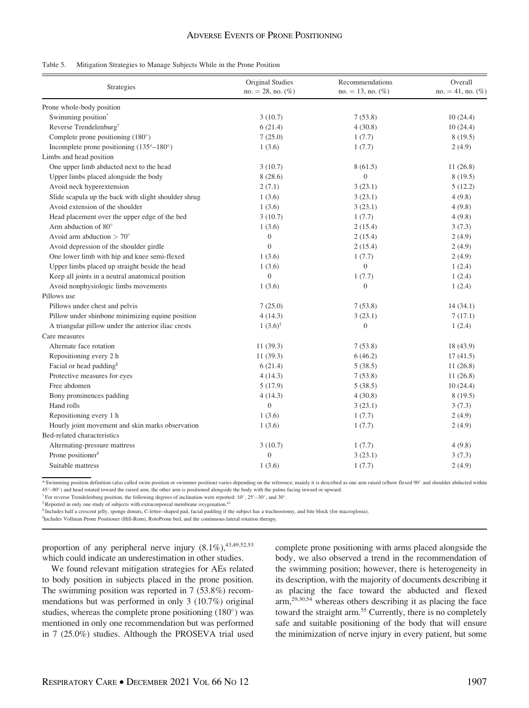| Strategies                                           | Original Studies<br>$no. = 28$ , no. $(\%)$ | Recommendations<br>$no. = 13$ , no. $(\%)$ | Overall<br>$no. = 41, no.$ (%) |
|------------------------------------------------------|---------------------------------------------|--------------------------------------------|--------------------------------|
| Prone whole-body position                            |                                             |                                            |                                |
| Swimming position <sup>*</sup>                       | 3(10.7)                                     | 7(53.8)                                    | 10(24.4)                       |
| Reverse Trendelenburg <sup>†</sup>                   | 6(21.4)                                     | 4(30.8)                                    | 10(24.4)                       |
| Complete prone positioning $(180^\circ)$             | 7(25.0)                                     | 1(7.7)                                     | 8(19.5)                        |
| Incomplete prone positioning (135°-180°)             | 1(3.6)                                      | 1(7.7)                                     | 2(4.9)                         |
| Limbs and head position                              |                                             |                                            |                                |
| One upper limb abducted next to the head             | 3(10.7)                                     | 8(61.5)                                    | 11(26.8)                       |
| Upper limbs placed alongside the body                | 8(28.6)                                     | $\overline{0}$                             | 8(19.5)                        |
| Avoid neck hyperextension                            | 2(7.1)                                      | 3(23.1)                                    | 5(12.2)                        |
| Slide scapula up the back with slight shoulder shrug | 1(3.6)                                      | 3(23.1)                                    | 4(9.8)                         |
| Avoid extension of the shoulder                      | 1(3.6)                                      | 3(23.1)                                    | 4(9.8)                         |
| Head placement over the upper edge of the bed        | 3(10.7)                                     | 1(7.7)                                     | 4(9.8)                         |
| Arm abduction of 80°                                 | 1(3.6)                                      | 2(15.4)                                    | 3(7.3)                         |
| Avoid arm abduction $> 70^{\circ}$                   | $\mathbf{0}$                                | 2(15.4)                                    | 2(4.9)                         |
| Avoid depression of the shoulder girdle              | $\mathbf{0}$                                | 2(15.4)                                    | 2(4.9)                         |
| One lower limb with hip and knee semi-flexed         | 1(3.6)                                      | 1(7.7)                                     | 2(4.9)                         |
| Upper limbs placed up straight beside the head       | 1(3.6)                                      | $\boldsymbol{0}$                           | 1(2.4)                         |
| Keep all joints in a neutral anatomical position     | $\mathbf{0}$                                | 1(7.7)                                     | 1(2.4)                         |
| Avoid nonphysiologic limbs movements                 | 1(3.6)                                      | $\boldsymbol{0}$                           | 1(2.4)                         |
| Pillows use                                          |                                             |                                            |                                |
| Pillows under chest and pelvis                       | 7(25.0)                                     | 7(53.8)                                    | 14(34.1)                       |
| Pillow under shinbone minimizing equine position     | 4(14.3)                                     | 3(23.1)                                    | 7(17.1)                        |
| A triangular pillow under the anterior iliac crests  | $1(3.6)^{\ddagger}$                         | $\boldsymbol{0}$                           | 1(2.4)                         |
| Care measures                                        |                                             |                                            |                                |
| Alternate face rotation                              | 11(39.3)                                    | 7(53.8)                                    | 18 (43.9)                      |
| Repositioning every 2 h                              | 11(39.3)                                    | 6(46.2)                                    | 17(41.5)                       |
| Facial or head padding <sup>§</sup>                  | 6(21.4)                                     | 5(38.5)                                    | 11(26.8)                       |
| Protective measures for eyes                         | 4(14.3)                                     | 7(53.8)                                    | 11(26.8)                       |
| Free abdomen                                         | 5(17.9)                                     | 5(38.5)                                    | 10(24.4)                       |
| Bony prominences padding                             | 4(14.3)                                     | 4(30.8)                                    | 8(19.5)                        |
| Hand rolls                                           | $\boldsymbol{0}$                            | 3(23.1)                                    | 3(7.3)                         |
| Repositioning every 1 h                              | 1(3.6)                                      | 1(7.7)                                     | 2(4.9)                         |
| Hourly joint movement and skin marks observation     | 1(3.6)                                      | 1(7.7)                                     | 2(4.9)                         |
| Bed-related characteristics                          |                                             |                                            |                                |
| Alternating-pressure mattress                        | 3(10.7)                                     | 1(7.7)                                     | 4(9.8)                         |
| Prone positioner <sup>11</sup>                       | $\mathbf{0}$                                | 3(23.1)                                    | 3(7.3)                         |
| Suitable mattress                                    | 1(3.6)                                      | 1(7.7)                                     | 2(4.9)                         |

\* Swimming position definition (also called swim position or swimmer position) varies depending on the reference; mainly it is described as one arm raised (elbow flexed 90° and shoulder abducted within 45–80) and head rotated toward the raised arm; the other arm is positioned alongside the body with the palms facing inward or upward.

 $\dagger$  For reverse Trendelenburg position, the following degrees of inclination were reported: 10°, 25°–30°, and 30°.

<sup>‡</sup>Reported in only one study of subjects with extracorporeal membrane oxygenation.<sup>6</sup>

§ Includes half a crescent jelly, sponge donuts, C-letter–shaped pad, facial padding if the subject has a tracheostomy, and bite block (for macroglosia).

||Includes Vollman Prone Positioner (Hill-Rom), RotoProne bed, and the continuous lateral rotation therapy.

proportion of any peripheral nerve injury  $(8.1\%)$ ,  $^{43,49,52,53}$ which could indicate an underestimation in other studies.

We found relevant mitigation strategies for AEs related to body position in subjects placed in the prone position. The swimming position was reported in 7 (53.8%) recommendations but was performed in only 3 (10.7%) original studies, whereas the complete prone positioning  $(180^{\circ})$  was mentioned in only one recommendation but was performed in 7 (25.0%) studies. Although the PROSEVA trial used complete prone positioning with arms placed alongside the body, we also observed a trend in the recommendation of the swimming position; however, there is heterogeneity in its description, with the majority of documents describing it as placing the face toward the abducted and flexed arm,29,30,54 whereas others describing it as placing the face toward the straight arm.<sup>55</sup> Currently, there is no completely safe and suitable positioning of the body that will ensure the minimization of nerve injury in every patient, but some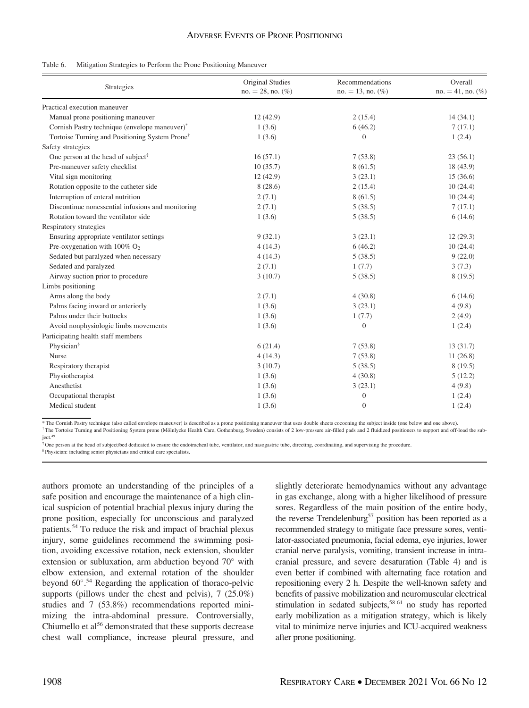| Table 6. |  |  |  |  | Mitigation Strategies to Perform the Prone Positioning Maneuver |  |
|----------|--|--|--|--|-----------------------------------------------------------------|--|
|----------|--|--|--|--|-----------------------------------------------------------------|--|

| Strategies                                                 | Original Studies<br>$no. = 28$ , no. $(\%)$ | Recommendations<br>$no. = 13$ , no. $(\%)$ | Overall<br>$no. = 41, no. (%)$ |
|------------------------------------------------------------|---------------------------------------------|--------------------------------------------|--------------------------------|
| Practical execution maneuver                               |                                             |                                            |                                |
| Manual prone positioning maneuver                          | 12(42.9)                                    | 2(15.4)                                    | 14(34.1)                       |
| Cornish Pastry technique (envelope maneuver)*              | 1(3.6)                                      | 6(46.2)                                    | 7(17.1)                        |
| Tortoise Turning and Positioning System Prone <sup>†</sup> | 1(3.6)                                      | $\overline{0}$                             | 1(2.4)                         |
| Safety strategies                                          |                                             |                                            |                                |
| One person at the head of subject <sup>#</sup>             | 16(57.1)                                    | 7(53.8)                                    | 23(56.1)                       |
| Pre-maneuver safety checklist                              | 10(35.7)                                    | 8(61.5)                                    | 18 (43.9)                      |
| Vital sign monitoring                                      | 12(42.9)                                    | 3(23.1)                                    | 15(36.6)                       |
| Rotation opposite to the catheter side                     | 8(28.6)                                     | 2(15.4)                                    | 10(24.4)                       |
| Interruption of enteral nutrition                          | 2(7.1)                                      | 8(61.5)                                    | 10(24.4)                       |
| Discontinue nonessential infusions and monitoring          | 2(7.1)                                      | 5(38.5)                                    | 7(17.1)                        |
| Rotation toward the ventilator side                        | 1(3.6)                                      | 5(38.5)                                    | 6(14.6)                        |
| Respiratory strategies                                     |                                             |                                            |                                |
| Ensuring appropriate ventilator settings                   | 9(32.1)                                     | 3(23.1)                                    | 12(29.3)                       |
| Pre-oxygenation with $100\%$ O <sub>2</sub>                | 4(14.3)                                     | 6(46.2)                                    | 10(24.4)                       |
| Sedated but paralyzed when necessary                       | 4(14.3)                                     | 5(38.5)                                    | 9(22.0)                        |
| Sedated and paralyzed                                      | 2(7.1)                                      | 1(7.7)                                     | 3(7.3)                         |
| Airway suction prior to procedure                          | 3(10.7)                                     | 5(38.5)                                    | 8(19.5)                        |
| Limbs positioning                                          |                                             |                                            |                                |
| Arms along the body                                        | 2(7.1)                                      | 4(30.8)                                    | 6(14.6)                        |
| Palms facing inward or anteriorly                          | 1(3.6)                                      | 3(23.1)                                    | 4(9.8)                         |
| Palms under their buttocks                                 | 1(3.6)                                      | 1(7.7)                                     | 2(4.9)                         |
| Avoid nonphysiologic limbs movements                       | 1(3.6)                                      | $\boldsymbol{0}$                           | 1(2.4)                         |
| Participating health staff members                         |                                             |                                            |                                |
| Physician <sup>§</sup>                                     | 6(21.4)                                     | 7(53.8)                                    | 13(31.7)                       |
| <b>Nurse</b>                                               | 4(14.3)                                     | 7(53.8)                                    | 11(26.8)                       |
| Respiratory therapist                                      | 3(10.7)                                     | 5(38.5)                                    | 8(19.5)                        |
| Physiotherapist                                            | 1(3.6)                                      | 4(30.8)                                    | 5(12.2)                        |
| Anesthetist                                                | 1(3.6)                                      | 3(23.1)                                    | 4(9.8)                         |
| Occupational therapist                                     | 1(3.6)                                      | $\boldsymbol{0}$                           | 1(2.4)                         |
| Medical student                                            | 1(3.6)                                      | $\boldsymbol{0}$                           | 1(2.4)                         |

\* The Cornish Pastry technique (also called envelope maneuver) is described as a prone positioning maneuver that uses double sheets cocooning the subject inside (one below and one above).

† The Tortoise Turning and Positioning System prone (M€olnlycke Health Care, Gothenburg, Sweden) consists of 2 low-pressure air-filled pads and 2 fluidized positioners to support and off-load the subject.<sup>49</sup>

‡ One person at the head of subject/bed dedicated to ensure the endotracheal tube, ventilator, and nasogastric tube, directing, coordinating, and supervising the procedure.

§ Physician: including senior physicians and critical care specialists.

authors promote an understanding of the principles of a safe position and encourage the maintenance of a high clinical suspicion of potential brachial plexus injury during the prone position, especially for unconscious and paralyzed patients.54 To reduce the risk and impact of brachial plexus injury, some guidelines recommend the swimming position, avoiding excessive rotation, neck extension, shoulder extension or subluxation, arm abduction beyond  $70^{\circ}$  with elbow extension, and external rotation of the shoulder beyond 60°.<sup>54</sup> Regarding the application of thoraco-pelvic supports (pillows under the chest and pelvis), 7 (25.0%) studies and 7 (53.8%) recommendations reported minimizing the intra-abdominal pressure. Controversially, Chiumello et al<sup>56</sup> demonstrated that these supports decrease chest wall compliance, increase pleural pressure, and

slightly deteriorate hemodynamics without any advantage in gas exchange, along with a higher likelihood of pressure sores. Regardless of the main position of the entire body, the reverse Trendelenburg<sup>57</sup> position has been reported as a recommended strategy to mitigate face pressure sores, ventilator-associated pneumonia, facial edema, eye injuries, lower cranial nerve paralysis, vomiting, transient increase in intracranial pressure, and severe desaturation (Table 4) and is even better if combined with alternating face rotation and repositioning every 2 h. Despite the well-known safety and benefits of passive mobilization and neuromuscular electrical stimulation in sedated subjects,<sup>58-61</sup> no study has reported early mobilization as a mitigation strategy, which is likely vital to minimize nerve injuries and ICU-acquired weakness after prone positioning.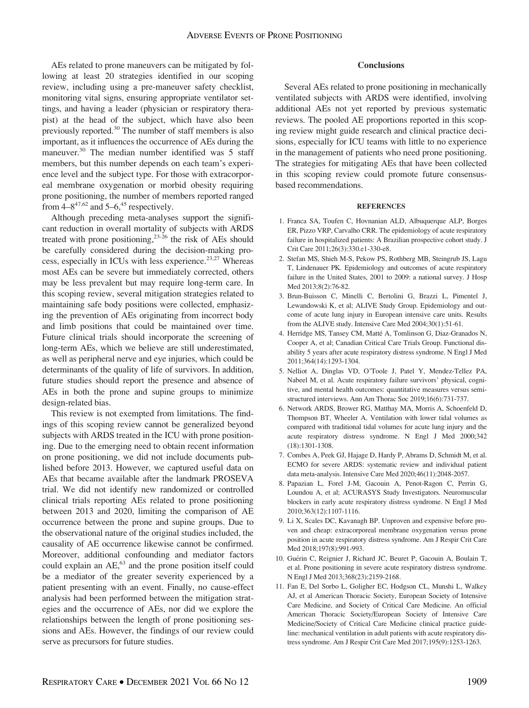AEs related to prone maneuvers can be mitigated by following at least 20 strategies identified in our scoping review, including using a pre-maneuver safety checklist, monitoring vital signs, ensuring appropriate ventilator settings, and having a leader (physician or respiratory therapist) at the head of the subject, which have also been previously reported.<sup>30</sup> The number of staff members is also important, as it influences the occurrence of AEs during the maneuver.<sup>30</sup> The median number identified was 5 staff members, but this number depends on each team's experience level and the subject type. For those with extracorporeal membrane oxygenation or morbid obesity requiring prone positioning, the number of members reported ranged from  $4-8^{47,62}$  and  $5-6,45$  respectively.

Although preceding meta-analyses support the significant reduction in overall mortality of subjects with ARDS treated with prone positioning, $2^{3-26}$  the risk of AEs should be carefully considered during the decision-making process, especially in ICUs with less experience.<sup>23,27</sup> Whereas most AEs can be severe but immediately corrected, others may be less prevalent but may require long-term care. In this scoping review, several mitigation strategies related to maintaining safe body positions were collected, emphasizing the prevention of AEs originating from incorrect body and limb positions that could be maintained over time. Future clinical trials should incorporate the screening of long-term AEs, which we believe are still underestimated, as well as peripheral nerve and eye injuries, which could be determinants of the quality of life of survivors. In addition, future studies should report the presence and absence of AEs in both the prone and supine groups to minimize design-related bias.

This review is not exempted from limitations. The findings of this scoping review cannot be generalized beyond subjects with ARDS treated in the ICU with prone positioning. Due to the emerging need to obtain recent information on prone positioning, we did not include documents published before 2013. However, we captured useful data on AEs that became available after the landmark PROSEVA trial. We did not identify new randomized or controlled clinical trials reporting AEs related to prone positioning between 2013 and 2020, limiting the comparison of AE occurrence between the prone and supine groups. Due to the observational nature of the original studies included, the causality of AE occurrence likewise cannot be confirmed. Moreover, additional confounding and mediator factors could explain an AE,<sup>63</sup> and the prone position itself could be a mediator of the greater severity experienced by a patient presenting with an event. Finally, no cause-effect analysis had been performed between the mitigation strategies and the occurrence of AEs, nor did we explore the relationships between the length of prone positioning sessions and AEs. However, the findings of our review could serve as precursors for future studies.

#### Conclusions

Several AEs related to prone positioning in mechanically ventilated subjects with ARDS were identified, involving additional AEs not yet reported by previous systematic reviews. The pooled AE proportions reported in this scoping review might guide research and clinical practice decisions, especially for ICU teams with little to no experience in the management of patients who need prone positioning. The strategies for mitigating AEs that have been collected in this scoping review could promote future consensusbased recommendations.

#### REFERENCES

- 1. Franca SA, Toufen C, Hovnanian ALD, Albuquerque ALP, Borges ER, Pizzo VRP, Carvalho CRR. The epidemiology of acute respiratory failure in hospitalized patients: A Brazilian prospective cohort study. J Crit Care 2011;26(3):330.e1-330-e8.
- 2. Stefan MS, Shieh M-S, Pekow PS, Rothberg MB, Steingrub JS, Lagu T, Lindenauer PK. Epidemiology and outcomes of acute respiratory failure in the United States, 2001 to 2009: a national survey. J Hosp Med 2013;8(2):76-82.
- 3. Brun-Buisson C, Minelli C, Bertolini G, Brazzi L, Pimentel J, Lewandowski K, et al; ALIVE Study Group. Epidemiology and outcome of acute lung injury in European intensive care units. Results from the ALIVE study. Intensive Care Med 2004;30(1):51-61.
- 4. Herridge MS, Tansey CM, Matté A, Tomlinson G, Diaz-Granados N, Cooper A, et al; Canadian Critical Care Trials Group. Functional disability 5 years after acute respiratory distress syndrome. N Engl J Med 2011;364(14):1293-1304.
- 5. Nelliot A, Dinglas VD, O'Toole J, Patel Y, Mendez-Tellez PA, Nabeel M, et al. Acute respiratory failure survivors' physical, cognitive, and mental health outcomes: quantitative measures versus semistructured interviews. Ann Am Thorac Soc 2019;16(6):731-737.
- 6. Network ARDS, Brower RG, Matthay MA, Morris A, Schoenfeld D, Thompson BT, Wheeler A. Ventilation with lower tidal volumes as compared with traditional tidal volumes for acute lung injury and the acute respiratory distress syndrome. N Engl J Med 2000;342 (18):1301-1308.
- 7. Combes A, Peek GJ, Hajage D, Hardy P, Abrams D, Schmidt M, et al. ECMO for severe ARDS: systematic review and individual patient data meta-analysis. Intensive Care Med 2020;46(11):2048-2057.
- 8. Papazian L, Forel J-M, Gacouin A, Penot-Ragon C, Perrin G, Loundou A, et al; ACURASYS Study Investigators. Neuromuscular blockers in early acute respiratory distress syndrome. N Engl J Med 2010;363(12):1107-1116.
- 9. Li X, Scales DC, Kavanagh BP. Unproven and expensive before proven and cheap: extracorporeal membrane oxygenation versus prone position in acute respiratory distress syndrome. Am J Respir Crit Care Med 2018;197(8):991-993.
- 10. Guérin C, Reignier J, Richard JC, Beuret P, Gacouin A, Boulain T, et al. Prone positioning in severe acute respiratory distress syndrome. N Engl J Med 2013;368(23):2159-2168.
- 11. Fan E, Del Sorbo L, Goligher EC, Hodgson CL, Munshi L, Walkey AJ, et al American Thoracic Society, European Society of Intensive Care Medicine, and Society of Critical Care Medicine. An official American Thoracic Society/European Society of Intensive Care Medicine/Society of Critical Care Medicine clinical practice guideline: mechanical ventilation in adult patients with acute respiratory distress syndrome. Am J Respir Crit Care Med 2017;195(9):1253-1263.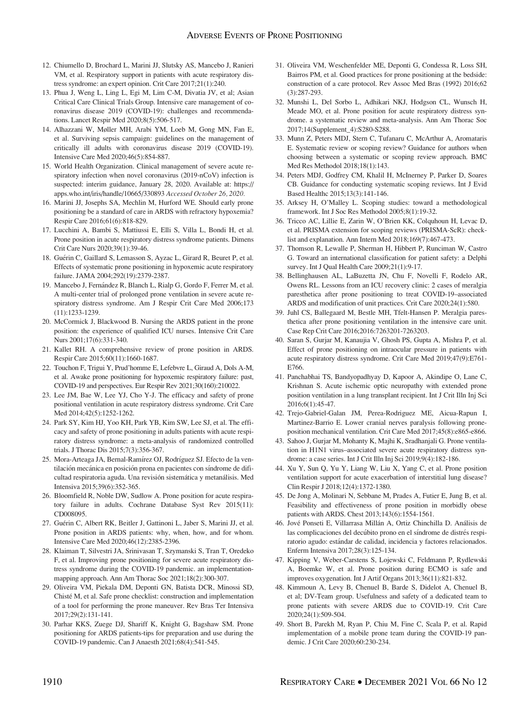- 12. Chiumello D, Brochard L, Marini JJ, Slutsky AS, Mancebo J, Ranieri VM, et al. Respiratory support in patients with acute respiratory distress syndrome: an expert opinion. Crit Care 2017;21(1):240.
- 13. Phua J, Weng L, Ling L, Egi M, Lim C-M, Divatia JV, et al; Asian Critical Care Clinical Trials Group. Intensive care management of coronavirus disease 2019 (COVID-19): challenges and recommendations. Lancet Respir Med 2020;8(5):506-517.
- 14. Alhazzani W, Møller MH, Arabi YM, Loeb M, Gong MN, Fan E, et al. Surviving sepsis campaign: guidelines on the management of critically ill adults with coronavirus disease 2019 (COVID-19). Intensive Care Med 2020;46(5):854-887.
- 15. World Health Organization. Clinical management of severe acute respiratory infection when novel coronavirus (2019-nCoV) infection is suspected: interim guidance, January 28, 2020. Available at: [https://](https://apps.who.int/iris/handle/10665/330893) [apps.who.int/iris/handle/10665/330893](https://apps.who.int/iris/handle/10665/330893) Accessed October 26, 2020.
- 16. Marini JJ, Josephs SA, Mechlin M, Hurford WE. Should early prone positioning be a standard of care in ARDS with refractory hypoxemia? Respir Care 2016;61(6):818-829.
- 17. Lucchini A, Bambi S, Mattiussi E, Elli S, Villa L, Bondi H, et al. Prone position in acute respiratory distress syndrome patients. Dimens Crit Care Nurs 2020;39(1):39-46.
- 18. Guérin C, Gaillard S, Lemasson S, Ayzac L, Girard R, Beuret P, et al. Effects of systematic prone positioning in hypoxemic acute respiratory failure. JAMA 2004;292(19):2379-2387.
- 19. Mancebo J, Fernández R, Blanch L, Rialp G, Gordo F, Ferrer M, et al. A multi-center trial of prolonged prone ventilation in severe acute respiratory distress syndrome. Am J Respir Crit Care Med 2006;173 (11):1233-1239.
- 20. McCormick J, Blackwood B. Nursing the ARDS patient in the prone position: the experience of qualified ICU nurses. Intensive Crit Care Nurs 2001;17(6):331-340.
- 21. Kallet RH. A comprehensive review of prone position in ARDS. Respir Care 2015;60(11):1660-1687.
- 22. Touchon F, Trigui Y, Prud'homme E, Lefebvre L, Giraud A, Dols A-M, et al. Awake prone positioning for hypoxemic respiratory failure: past, COVID-19 and perspectives. Eur Respir Rev 2021;30(160):210022.
- 23. Lee JM, Bae W, Lee YJ, Cho Y-J. The efficacy and safety of prone positional ventilation in acute respiratory distress syndrome. Crit Care Med 2014;42(5):1252-1262.
- 24. Park SY, Kim HJ, Yoo KH, Park YB, Kim SW, Lee SJ, et al. The efficacy and safety of prone positioning in adults patients with acute respiratory distress syndrome: a meta-analysis of randomized controlled trials. J Thorac Dis 2015;7(3):356-367.
- 25. Mora-Arteaga JA, Bernal-Ramírez OJ, Rodríguez SJ. Efecto de la ventilación mecánica en posición prona en pacientes con síndrome de dificultad respiratoria aguda. Una revisión sistemática y metanálisis. Med Intensiva 2015;39(6):352-365.
- 26. Bloomfield R, Noble DW, Sudlow A. Prone position for acute respiratory failure in adults. Cochrane Database Syst Rev 2015(11): CD008095.
- 27. Guérin C, Albert RK, Beitler J, Gattinoni L, Jaber S, Marini JJ, et al. Prone position in ARDS patients: why, when, how, and for whom. Intensive Care Med 2020;46(12):2385-2396.
- 28. Klaiman T, Silvestri JA, Srinivasan T, Szymanski S, Tran T, Oredeko F, et al. Improving prone positioning for severe acute respiratory distress syndrome during the COVID-19 pandemic. an implementationmapping approach. Ann Am Thorac Soc 2021;18(2):300-307.
- 29. Oliveira VM, Piekala DM, Deponti GN, Batista DCR, Minossi SD, Chisté M, et al. Safe prone checklist: construction and implementation of a tool for performing the prone maneuver. Rev Bras Ter Intensiva 2017;29(2):131-141.
- 30. Parhar KKS, Zuege DJ, Shariff K, Knight G, Bagshaw SM. Prone positioning for ARDS patients-tips for preparation and use during the COVID-19 pandemic. Can J Anaesth 2021;68(4):541-545.
- 31. Oliveira VM, Weschenfelder ME, Deponti G, Condessa R, Loss SH, Bairros PM, et al. Good practices for prone positioning at the bedside: construction of a care protocol. Rev Assoc Med Bras (1992) 2016;62 (3):287-293.
- 32. Munshi L, Del Sorbo L, Adhikari NKJ, Hodgson CL, Wunsch H, Meade MO, et al. Prone position for acute respiratory distress syndrome. a systematic review and meta-analysis. Ann Am Thorac Soc 2017;14(Supplement\_4):S280-S288.
- 33. Munn Z, Peters MDJ, Stern C, Tufanaru C, McArthur A, Aromataris E. Systematic review or scoping review? Guidance for authors when choosing between a systematic or scoping review approach. BMC Med Res Methodol 2018;18(1):143.
- 34. Peters MDJ, Godfrey CM, Khalil H, McInerney P, Parker D, Soares CB. Guidance for conducting systematic scoping reviews. Int J Evid Based Healthc 2015;13(3):141-146.
- 35. Arksey H, O'Malley L. Scoping studies: toward a methodological framework. Int J Soc Res Methodol 2005;8(1):19-32.
- 36. Tricco AC, Lillie E, Zarin W, O'Brien KK, Colquhoun H, Levac D, et al. PRISMA extension for scoping reviews (PRISMA-ScR): checklist and explanation. Ann Intern Med 2018;169(7):467-473.
- 37. Thomson R, Lewalle P, Sherman H, Hibbert P, Runciman W, Castro G. Toward an international classification for patient safety: a Delphi survey. Int J Qual Health Care 2009;21(1):9-17.
- 38. Bellinghausen AL, LaBuzetta JN, Chu F, Novelli F, Rodelo AR, Owens RL. Lessons from an ICU recovery clinic: 2 cases of meralgia paresthetica after prone positioning to treat COVID-19–associated ARDS and modification of unit practices. Crit Care 2020;24(1):580.
- 39. Juhl CS, Ballegaard M, Bestle MH, Tfelt-Hansen P. Meralgia paresthetica after prone positioning ventilation in the intensive care unit. Case Rep Crit Care 2016;2016:7263201-7263203.
- 40. Saran S, Gurjar M, Kanaujia V, Ghosh PS, Gupta A, Mishra P, et al. Effect of prone positioning on intraocular pressure in patients with acute respiratory distress syndrome. Crit Care Med 2019;47(9):E761- E766.
- 41. Panchabhai TS, Bandyopadhyay D, Kapoor A, Akindipe O, Lane C, Krishnan S. Acute ischemic optic neuropathy with extended prone position ventilation in a lung transplant recipient. Int J Crit Illn Inj Sci 2016;6(1):45-47.
- 42. Trejo-Gabriel-Galan JM, Perea-Rodriguez ME, Aicua-Rapun I, Martinez-Barrio E. Lower cranial nerves paralysis following proneposition mechanical ventilation. Crit Care Med 2017;45(8):e865-e866.
- 43. Sahoo J, Gurjar M, Mohanty K, Majhi K, Sradhanjali G. Prone ventilation in H1N1 virus–associated severe acute respiratory distress syndrome: a case series. Int J Crit Illn Inj Sci 2019;9(4):182-186.
- 44. Xu Y, Sun Q, Yu Y, Liang W, Liu X, Yang C, et al. Prone position ventilation support for acute exacerbation of interstitial lung disease? Clin Respir J 2018;12(4):1372-1380.
- 45. De Jong A, Molinari N, Sebbane M, Prades A, Futier E, Jung B, et al. Feasibility and effectiveness of prone position in morbidly obese patients with ARDS. Chest 2013;143(6):1554-1561.
- 46. Jové Ponseti E, Villarrasa Millán A, Ortiz Chinchilla D. Análisis de las complicaciones del decúbito prono en el síndrome de distrés respiratorio agudo: estándar de calidad, incidencia y factores relacionados. Enferm Intensiva 2017;28(3):125-134.
- 47. Kipping V, Weber-Carstens S, Lojewski C, Feldmann P, Rydlewski A, Boemke W, et al. Prone position during ECMO is safe and improves oxygenation. Int J Artif Organs 2013;36(11):821-832.
- 48. Kimmoun A, Levy B, Chenuel B, Barde S, Didelot A, Chenuel B, et al; DV-Team group. Usefulness and safety of a dedicated team to prone patients with severe ARDS due to COVID-19. Crit Care 2020;24(1):509-504.
- 49. Short B, Parekh M, Ryan P, Chiu M, Fine C, Scala P, et al. Rapid implementation of a mobile prone team during the COVID-19 pandemic. J Crit Care 2020;60:230-234.